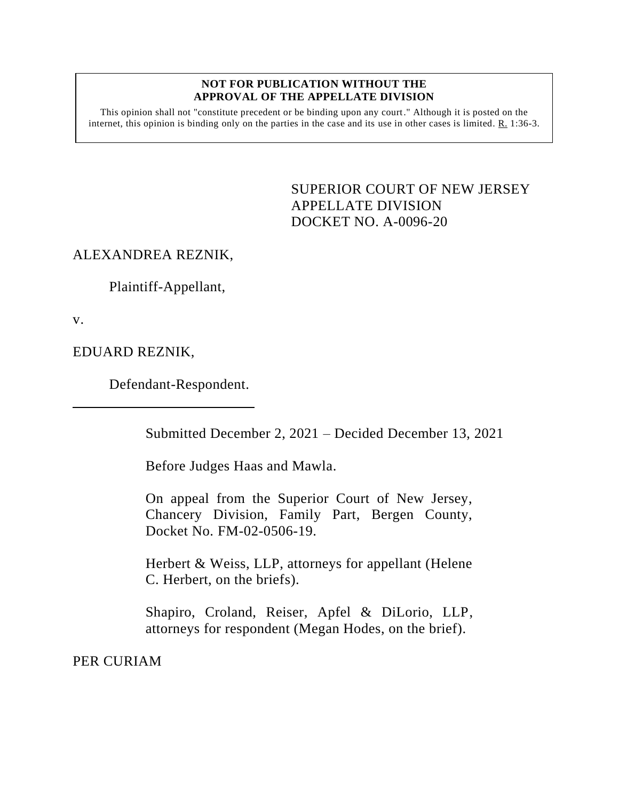#### **NOT FOR PUBLICATION WITHOUT THE APPROVAL OF THE APPELLATE DIVISION**

This opinion shall not "constitute precedent or be binding upon any court." Although it is posted on the internet, this opinion is binding only on the parties in the case and its use in other cases is limited. R. 1:36-3.

> <span id="page-0-0"></span>SUPERIOR COURT OF NEW JERSEY APPELLATE DIVISION DOCKET NO. A-0096-20

# ALEXANDREA REZNIK,

Plaintiff-Appellant,

v.

EDUARD REZNIK,

Defendant-Respondent.

Submitted December 2, 2021 – Decided December 13, 2021

Before Judges Haas and Mawla.

On appeal from the Superior Court of New Jersey, Chancery Division, Family Part, Bergen County, Docket No. FM-02-0506-19.

Herbert & Weiss, LLP, attorneys for appellant (Helene C. Herbert, on the briefs).

Shapiro, Croland, Reiser, Apfel & DiLorio, LLP, attorneys for respondent (Megan Hodes, on the brief).

PER CURIAM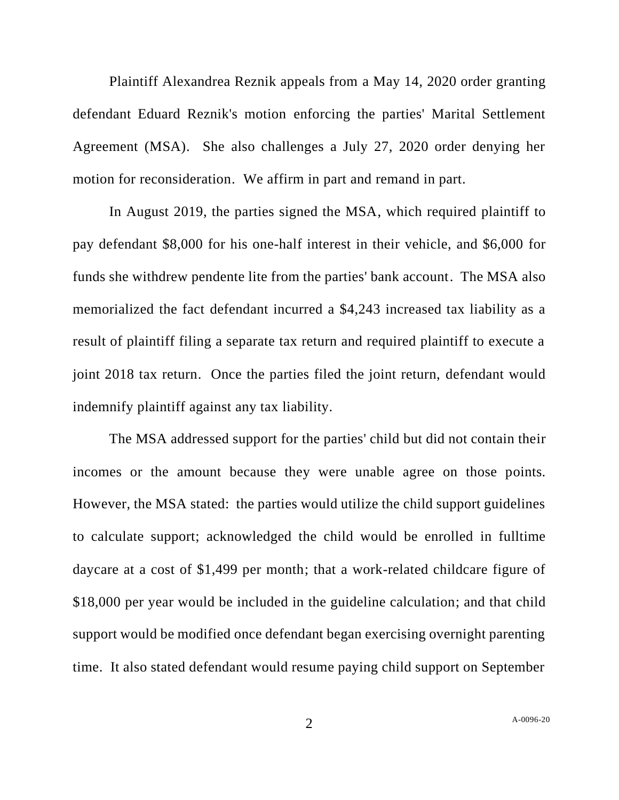Plaintiff Alexandrea Reznik appeals from a May 14, 2020 order granting defendant Eduard Reznik's motion enforcing the parties' Marital Settlement Agreement (MSA). She also challenges a July 27, 2020 order denying her motion for reconsideration. We affirm in part and remand in part.

In August 2019, the parties signed the MSA, which required plaintiff to pay defendant \$8,000 for his one-half interest in their vehicle, and \$6,000 for funds she withdrew pendente lite from the parties' bank account. The MSA also memorialized the fact defendant incurred a \$4,243 increased tax liability as a result of plaintiff filing a separate tax return and required plaintiff to execute a joint 2018 tax return. Once the parties filed the joint return, defendant would indemnify plaintiff against any tax liability.

The MSA addressed support for the parties' child but did not contain their incomes or the amount because they were unable agree on those points. However, the MSA stated: the parties would utilize the child support guidelines to calculate support; acknowledged the child would be enrolled in fulltime daycare at a cost of \$1,499 per month; that a work-related childcare figure of \$18,000 per year would be included in the guideline calculation; and that child support would be modified once defendant began exercising overnight parenting time. It also stated defendant would resume paying child support on September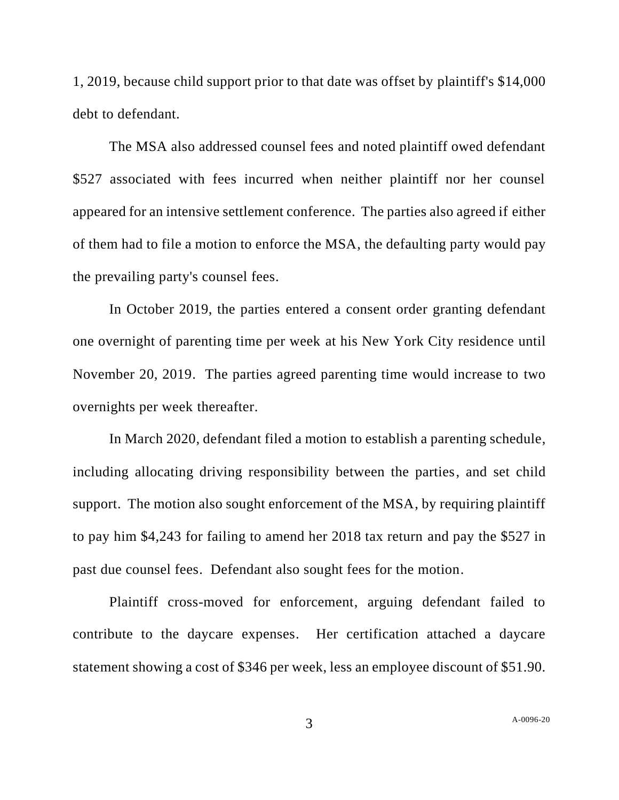1, 2019, because child support prior to that date was offset by plaintiff's \$14,000 debt to defendant.

The MSA also addressed counsel fees and noted plaintiff owed defendant \$527 associated with fees incurred when neither plaintiff nor her counsel appeared for an intensive settlement conference. The parties also agreed if either of them had to file a motion to enforce the MSA, the defaulting party would pay the prevailing party's counsel fees.

In October 2019, the parties entered a consent order granting defendant one overnight of parenting time per week at his New York City residence until November 20, 2019. The parties agreed parenting time would increase to two overnights per week thereafter.

In March 2020, defendant filed a motion to establish a parenting schedule, including allocating driving responsibility between the parties, and set child support. The motion also sought enforcement of the MSA, by requiring plaintiff to pay him \$4,243 for failing to amend her 2018 tax return and pay the \$527 in past due counsel fees. Defendant also sought fees for the motion.

Plaintiff cross-moved for enforcement, arguing defendant failed to contribute to the daycare expenses. Her certification attached a daycare statement showing a cost of \$346 per week, less an employee discount of \$51.90.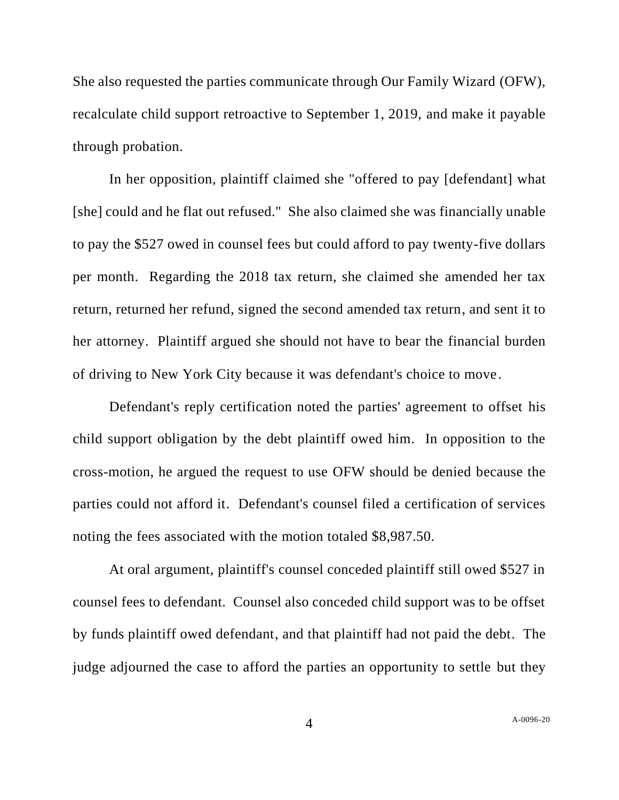She also requested the parties communicate through Our Family Wizard (OFW), recalculate child support retroactive to September 1, 2019, and make it payable through probation.

In her opposition, plaintiff claimed she "offered to pay [defendant] what [she] could and he flat out refused." She also claimed she was financially unable to pay the \$527 owed in counsel fees but could afford to pay twenty-five dollars per month. Regarding the 2018 tax return, she claimed she amended her tax return, returned her refund, signed the second amended tax return, and sent it to her attorney. Plaintiff argued she should not have to bear the financial burden of driving to New York City because it was defendant's choice to move.

Defendant's reply certification noted the parties' agreement to offset his child support obligation by the debt plaintiff owed him. In opposition to the cross-motion, he argued the request to use OFW should be denied because the parties could not afford it. Defendant's counsel filed a certification of services noting the fees associated with the motion totaled \$8,987.50.

At oral argument, plaintiff's counsel conceded plaintiff still owed \$527 in counsel fees to defendant. Counsel also conceded child support was to be offset by funds plaintiff owed defendant, and that plaintiff had not paid the debt. The judge adjourned the case to afford the parties an opportunity to settle but they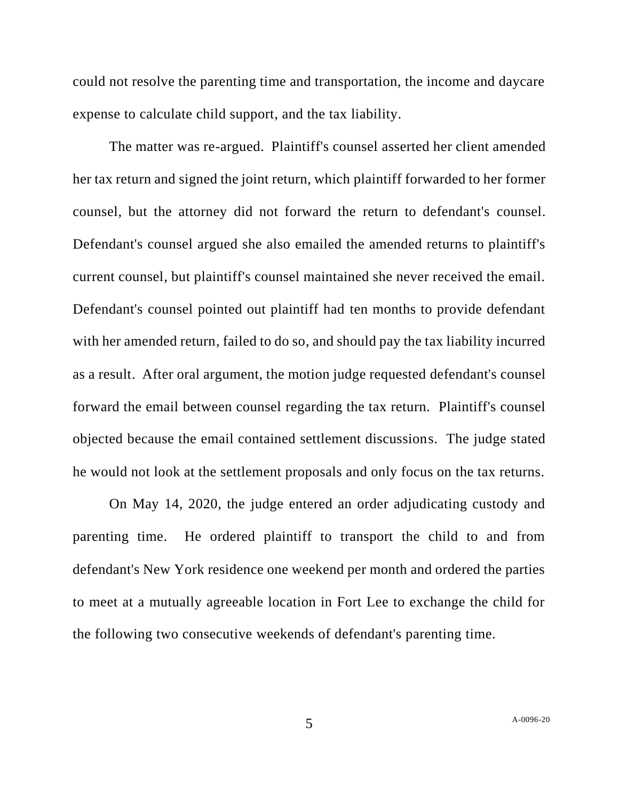could not resolve the parenting time and transportation, the income and daycare expense to calculate child support, and the tax liability.

The matter was re-argued. Plaintiff's counsel asserted her client amended her tax return and signed the joint return, which plaintiff forwarded to her former counsel, but the attorney did not forward the return to defendant's counsel. Defendant's counsel argued she also emailed the amended returns to plaintiff's current counsel, but plaintiff's counsel maintained she never received the email. Defendant's counsel pointed out plaintiff had ten months to provide defendant with her amended return, failed to do so, and should pay the tax liability incurred as a result. After oral argument, the motion judge requested defendant's counsel forward the email between counsel regarding the tax return. Plaintiff's counsel objected because the email contained settlement discussions. The judge stated he would not look at the settlement proposals and only focus on the tax returns.

On May 14, 2020, the judge entered an order adjudicating custody and parenting time. He ordered plaintiff to transport the child to and from defendant's New York residence one weekend per month and ordered the parties to meet at a mutually agreeable location in Fort Lee to exchange the child for the following two consecutive weekends of defendant's parenting time.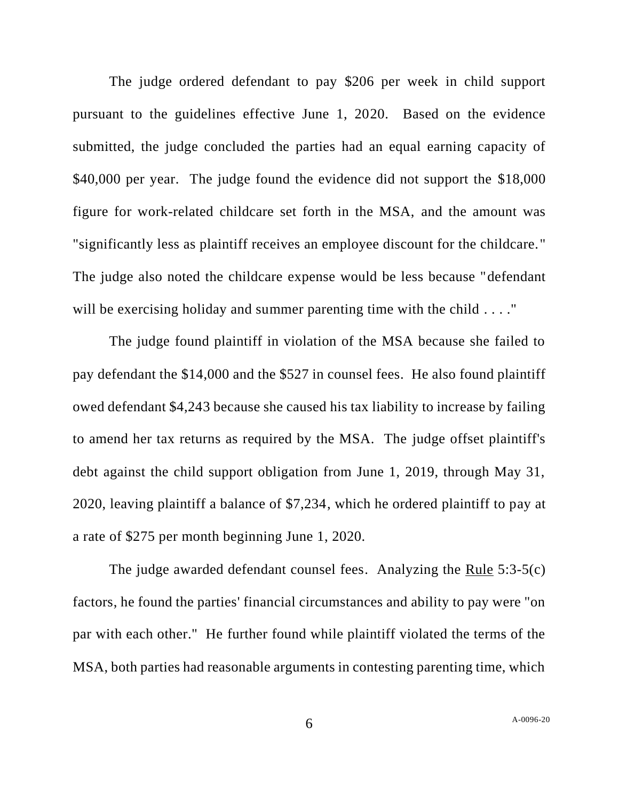The judge ordered defendant to pay \$206 per week in child support pursuant to the guidelines effective June 1, 2020. Based on the evidence submitted, the judge concluded the parties had an equal earning capacity of \$40,000 per year. The judge found the evidence did not support the \$18,000 figure for work-related childcare set forth in the MSA, and the amount was "significantly less as plaintiff receives an employee discount for the childcare." The judge also noted the childcare expense would be less because "defendant will be exercising holiday and summer parenting time with the child . . . . "

The judge found plaintiff in violation of the MSA because she failed to pay defendant the \$14,000 and the \$527 in counsel fees. He also found plaintiff owed defendant \$4,243 because she caused his tax liability to increase by failing to amend her tax returns as required by the MSA. The judge offset plaintiff's debt against the child support obligation from June 1, 2019, through May 31, 2020, leaving plaintiff a balance of \$7,234, which he ordered plaintiff to pay at a rate of \$275 per month beginning June 1, 2020.

The judge awarded defendant counsel fees. Analyzing the Rule 5:3-5(c) factors, he found the parties' financial circumstances and ability to pay were "on par with each other." He further found while plaintiff violated the terms of the MSA, both parties had reasonable arguments in contesting parenting time, which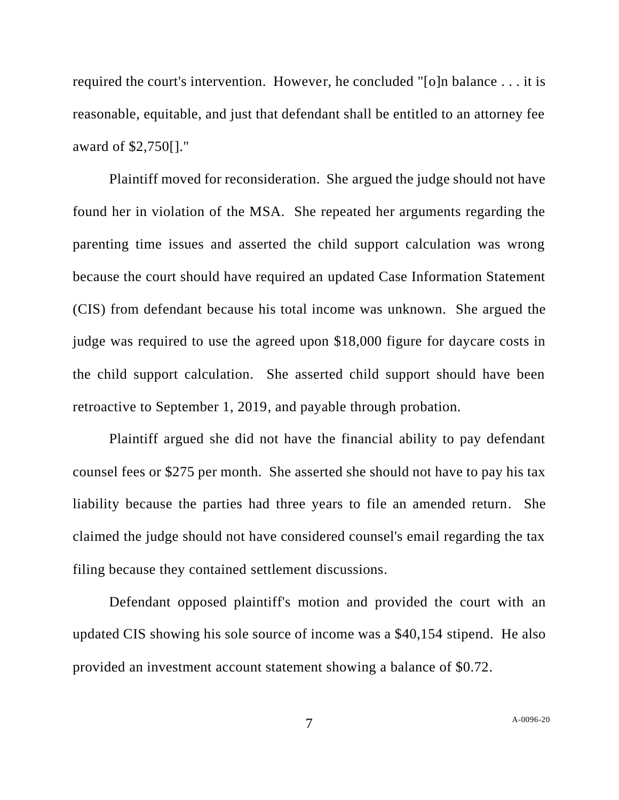required the court's intervention. However, he concluded "[o]n balance . . . it is reasonable, equitable, and just that defendant shall be entitled to an attorney fee award of \$2,750[]."

Plaintiff moved for reconsideration. She argued the judge should not have found her in violation of the MSA. She repeated her arguments regarding the parenting time issues and asserted the child support calculation was wrong because the court should have required an updated Case Information Statement (CIS) from defendant because his total income was unknown. She argued the judge was required to use the agreed upon \$18,000 figure for daycare costs in the child support calculation. She asserted child support should have been retroactive to September 1, 2019, and payable through probation.

Plaintiff argued she did not have the financial ability to pay defendant counsel fees or \$275 per month. She asserted she should not have to pay his tax liability because the parties had three years to file an amended return. She claimed the judge should not have considered counsel's email regarding the tax filing because they contained settlement discussions.

Defendant opposed plaintiff's motion and provided the court with an updated CIS showing his sole source of income was a \$40,154 stipend. He also provided an investment account statement showing a balance of \$0.72.

7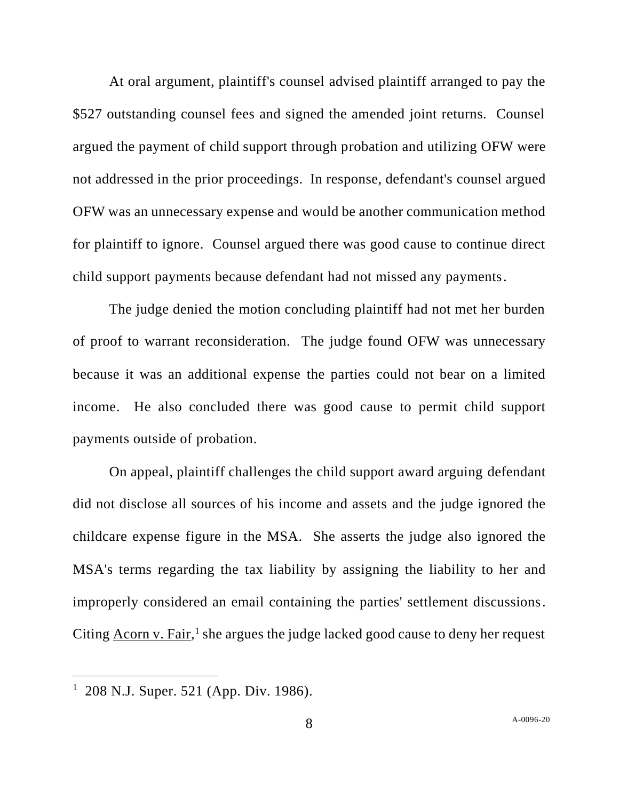At oral argument, plaintiff's counsel advised plaintiff arranged to pay the \$527 outstanding counsel fees and signed the amended joint returns. Counsel argued the payment of child support through probation and utilizing OFW were not addressed in the prior proceedings. In response, defendant's counsel argued OFW was an unnecessary expense and would be another communication method for plaintiff to ignore. Counsel argued there was good cause to continue direct child support payments because defendant had not missed any payments.

The judge denied the motion concluding plaintiff had not met her burden of proof to warrant reconsideration. The judge found OFW was unnecessary because it was an additional expense the parties could not bear on a limited income. He also concluded there was good cause to permit child support payments outside of probation.

On appeal, plaintiff challenges the child support award arguing defendant did not disclose all sources of his income and assets and the judge ignored the childcare expense figure in the MSA. She asserts the judge also ignored the MSA's terms regarding the tax liability by assigning the liability to her and improperly considered an email containing the parties' settlement discussions. Citing Acorn v. Fair,<sup>1</sup> she argues the judge lacked good cause to deny her request

<sup>&</sup>lt;sup>1</sup> 208 N.J. Super. 521 (App. Div. 1986).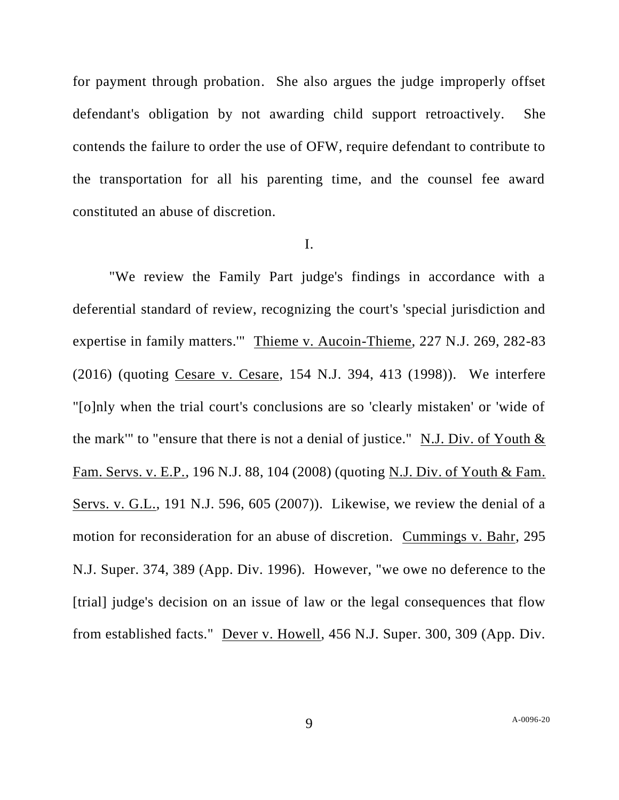for payment through probation. She also argues the judge improperly offset defendant's obligation by not awarding child support retroactively. She contends the failure to order the use of OFW, require defendant to contribute to the transportation for all his parenting time, and the counsel fee award constituted an abuse of discretion.

### I.

"We review the Family Part judge's findings in accordance with a deferential standard of review, recognizing the court's 'special jurisdiction and expertise in family matters.'" Thieme v. Aucoin-Thieme, 227 N.J. 269, 282-83 (2016) (quoting Cesare v. Cesare, 154 N.J. 394, 413 (1998)). We interfere "[o]nly when the trial court's conclusions are so 'clearly mistaken' or 'wide of the mark'" to "ensure that there is not a denial of justice." N.J. Div. of Youth & Fam. Servs. v. E.P., 196 N.J. 88, 104 (2008) (quoting N.J. Div. of Youth & Fam. Servs. v. G.L., 191 N.J. 596, 605 (2007)). Likewise, we review the denial of a motion for reconsideration for an abuse of discretion. Cummings v. Bahr, 295 N.J. Super. 374, 389 (App. Div. 1996). However, "we owe no deference to the [trial] judge's decision on an issue of law or the legal consequences that flow from established facts." Dever v. Howell, 456 N.J. Super. 300, 309 (App. Div.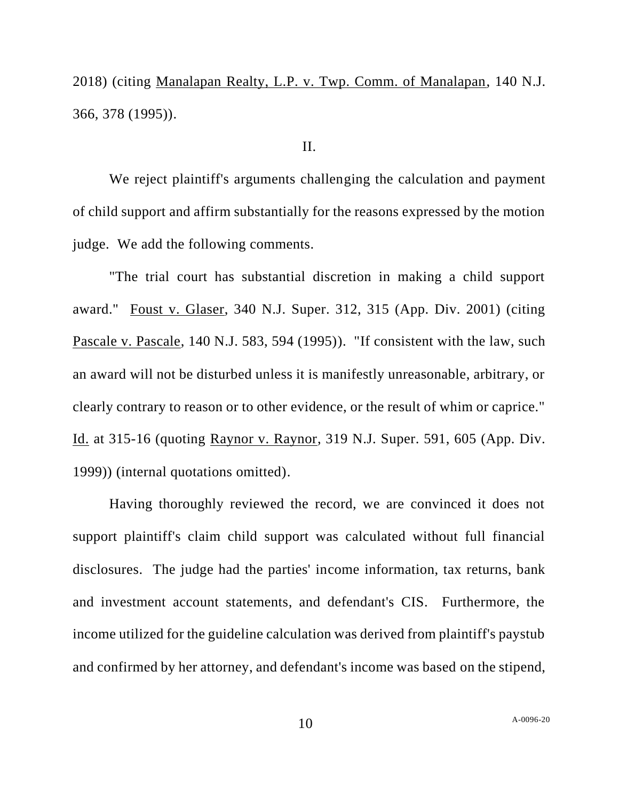2018) (citing Manalapan Realty, L.P. v. Twp. Comm. of Manalapan, 140 N.J. 366, 378 (1995)).

### II.

We reject plaintiff's arguments challenging the calculation and payment of child support and affirm substantially for the reasons expressed by the motion judge. We add the following comments.

"The trial court has substantial discretion in making a child support award." Foust v. Glaser, 340 N.J. Super. 312, 315 (App. Div. 2001) (citing Pascale v. Pascale, 140 N.J. 583, 594 (1995)). "If consistent with the law, such an award will not be disturbed unless it is manifestly unreasonable, arbitrary, or clearly contrary to reason or to other evidence, or the result of whim or caprice." Id. at 315-16 (quoting Raynor v. Raynor, 319 N.J. Super. 591, 605 (App. Div. 1999)) (internal quotations omitted).

Having thoroughly reviewed the record, we are convinced it does not support plaintiff's claim child support was calculated without full financial disclosures. The judge had the parties' income information, tax returns, bank and investment account statements, and defendant's CIS. Furthermore, the income utilized for the guideline calculation was derived from plaintiff's paystub and confirmed by her attorney, and defendant's income was based on the stipend,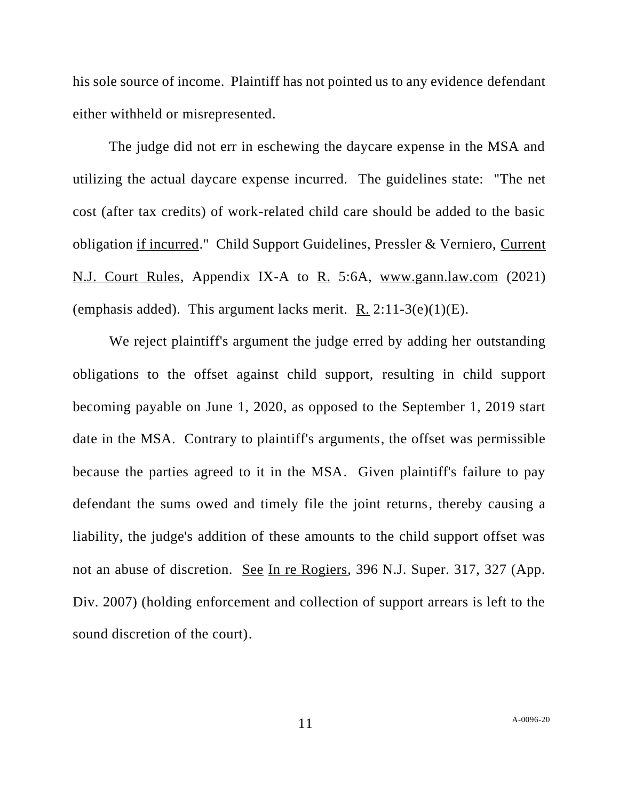his sole source of income. Plaintiff has not pointed us to any evidence defendant either withheld or misrepresented.

The judge did not err in eschewing the daycare expense in the MSA and utilizing the actual daycare expense incurred. The guidelines state: "The net cost (after tax credits) of work-related child care should be added to the basic obligation if incurred." Child Support Guidelines, Pressler & Verniero, Current N.J. Court Rules, Appendix IX-A to R. 5:6A, [www.gann.law.com](http://www.gann.law.com/) (2021) (emphasis added). This argument lacks merit. R.  $2:11-3(e)(1)(E)$ .

We reject plaintiff's argument the judge erred by adding her outstanding obligations to the offset against child support, resulting in child support becoming payable on June 1, 2020, as opposed to the September 1, 2019 start date in the MSA. Contrary to plaintiff's arguments, the offset was permissible because the parties agreed to it in the MSA. Given plaintiff's failure to pay defendant the sums owed and timely file the joint returns, thereby causing a liability, the judge's addition of these amounts to the child support offset was not an abuse of discretion. See In re Rogiers, 396 N.J. Super. 317, 327 (App. Div. 2007) (holding enforcement and collection of support arrears is left to the sound discretion of the court).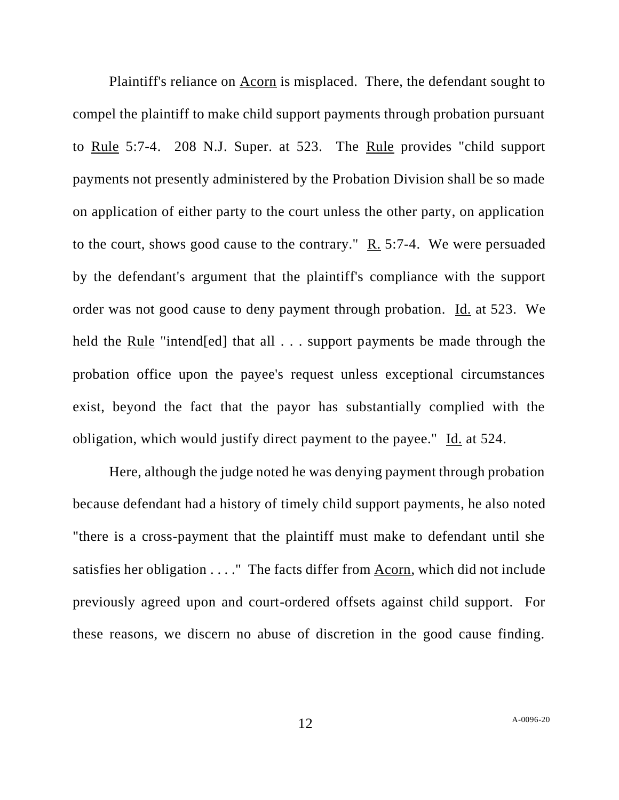Plaintiff's reliance on Acorn is misplaced. There, the defendant sought to compel the plaintiff to make child support payments through probation pursuant to Rule 5:7-4. 208 N.J. Super. at 523. The Rule provides "child support payments not presently administered by the Probation Division shall be so made on application of either party to the court unless the other party, on application to the court, shows good cause to the contrary." R. 5:7-4. We were persuaded by the defendant's argument that the plaintiff's compliance with the support order was not good cause to deny payment through probation. Id. at 523. We held the Rule "intend[ed] that all . . . support payments be made through the probation office upon the payee's request unless exceptional circumstances exist, beyond the fact that the payor has substantially complied with the obligation, which would justify direct payment to the payee." Id. at 524.

Here, although the judge noted he was denying payment through probation because defendant had a history of timely child support payments, he also noted "there is a cross-payment that the plaintiff must make to defendant until she satisfies her obligation . . . ." The facts differ from Acorn, which did not include previously agreed upon and court-ordered offsets against child support. For these reasons, we discern no abuse of discretion in the good cause finding.